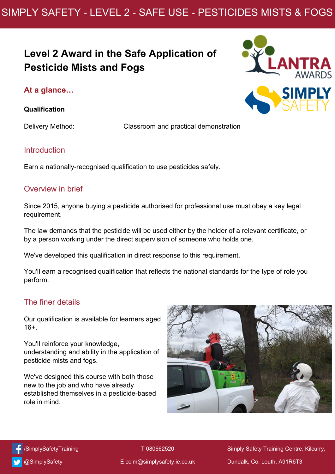## SIMPLY SAFETY - LEVEL 2 - SAFE USE - PESTICIDES MISTS & FOGS

# **Level 2 Award in the Safe Application of Pesticide Mists and Fogs**

### **At a glance…**

#### **Qualification**

Delivery Method: Classroom and practical demonstration

#### **Introduction**

Earn a nationally-recognised qualification to use pesticides safely.

#### Overview in brief

Since 2015, anyone buying a pesticide authorised for professional use must obey a key legal requirement.

The law demands that the pesticide will be used either by the holder of a relevant certificate, or by a person working under the direct supervision of someone who holds one.

We've developed this qualification in direct response to this requirement.

You'll earn a recognised qualification that reflects the national standards for the type of role you perform.

#### The finer details

Our qualification is available for learners aged 16+.

You'll reinforce your knowledge, understanding and ability in the application of pesticide mists and fogs.

We've designed this course with both those new to the job and who have already established themselves in a pesticide-based role in mind.





[/SimplySafetyTraining](https://www.facebook.com/LantraUK/)

[@SimplySafety](http://www.twitter.com/lantrauk)

T 080662520

Simply Safety Training Centre, Kilcurry, Dundalk, Co. Louth, A91R6T3

SIMPLY

E [colm@simplysafety.ie.co.uk](mailto:sales@lantra.co.uk)